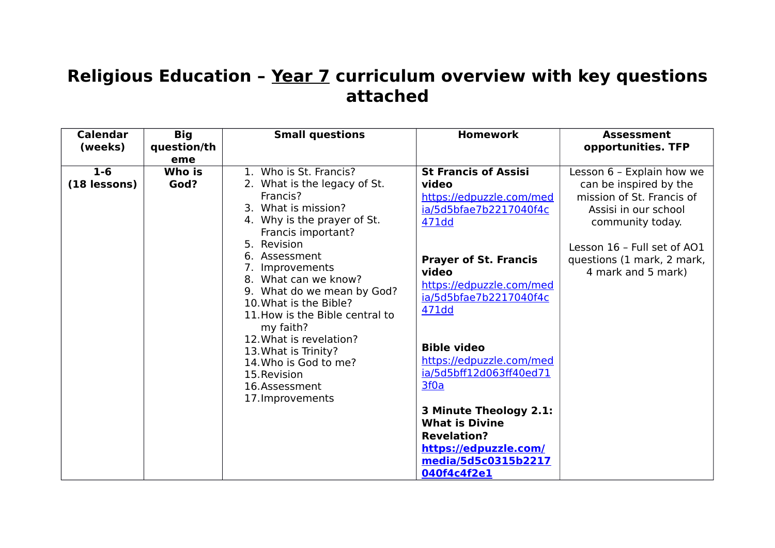## **Religious Education – Year 7 curriculum overview with key questions attached**

| <b>Calendar</b> | <b>Big</b>  | <b>Small questions</b>                               | <b>Homework</b>              | <b>Assessment</b>           |
|-----------------|-------------|------------------------------------------------------|------------------------------|-----------------------------|
| (weeks)         | question/th |                                                      |                              | opportunities. TFP          |
|                 | eme         |                                                      |                              |                             |
| $1 - 6$         | Who is      | 1. Who is St. Francis?                               | <b>St Francis of Assisi</b>  | Lesson 6 - Explain how we   |
| (18 lessons)    | God?        | 2. What is the legacy of St.                         | video                        | can be inspired by the      |
|                 |             | Francis?                                             | https://edpuzzle.com/med     | mission of St. Francis of   |
|                 |             | 3. What is mission?                                  | ia/5d5bfae7b2217040f4c       | Assisi in our school        |
|                 |             | 4. Why is the prayer of St.                          | 471dd                        | community today.            |
|                 |             | Francis important?                                   |                              |                             |
|                 |             | 5. Revision                                          |                              | Lesson 16 - Full set of AO1 |
|                 |             | 6. Assessment                                        | <b>Prayer of St. Francis</b> | questions (1 mark, 2 mark,  |
|                 |             | 7. Improvements                                      | video                        | 4 mark and 5 mark)          |
|                 |             | 8. What can we know?                                 | https://edpuzzle.com/med     |                             |
|                 |             | 9. What do we mean by God?<br>10. What is the Bible? | ia/5d5bfae7b2217040f4c       |                             |
|                 |             | 11. How is the Bible central to                      | 471dd                        |                             |
|                 |             | my faith?                                            |                              |                             |
|                 |             | 12. What is revelation?                              |                              |                             |
|                 |             | 13. What is Trinity?                                 | <b>Bible video</b>           |                             |
|                 |             | 14. Who is God to me?                                | https://edpuzzle.com/med     |                             |
|                 |             | 15. Revision                                         | ia/5d5bff12d063ff40ed71      |                             |
|                 |             | 16.Assessment                                        | 3f0a                         |                             |
|                 |             | 17. Improvements                                     |                              |                             |
|                 |             |                                                      | 3 Minute Theology 2.1:       |                             |
|                 |             |                                                      | <b>What is Divine</b>        |                             |
|                 |             |                                                      | <b>Revelation?</b>           |                             |
|                 |             |                                                      | https://edpuzzle.com/        |                             |
|                 |             |                                                      | media/5d5c0315b2217          |                             |
|                 |             |                                                      | 040f4c4f2e1                  |                             |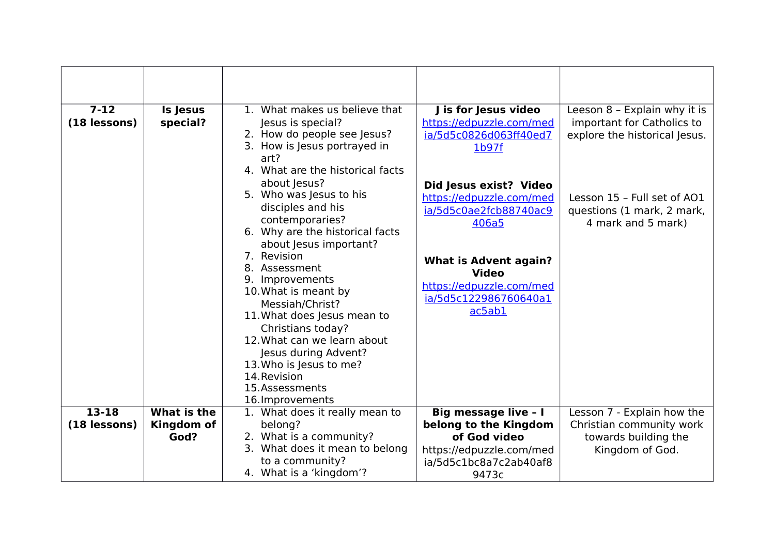| $7 - 12$<br>(18 lessons)  | <b>Is Jesus</b><br>special?       | 1. What makes us believe that<br>Jesus is special?<br>2. How do people see Jesus?<br>3. How is Jesus portrayed in<br>art?<br>4. What are the historical facts<br>about Jesus?<br>5. Who was Jesus to his<br>disciples and his<br>contemporaries?<br>6. Why are the historical facts<br>about Jesus important?<br>7. Revision<br>8. Assessment<br>9. Improvements<br>10. What is meant by<br>Messiah/Christ?<br>11. What does Jesus mean to<br>Christians today?<br>12. What can we learn about | J is for Jesus video<br>https://edpuzzle.com/med<br>ia/5d5c0826d063ff40ed7<br>1 <sub>b97f</sub><br>Did Jesus exist? Video<br>https://edpuzzle.com/med<br>ia/5d5c0ae2fcb88740ac9<br>406a5<br><b>What is Advent again?</b><br><b>Video</b><br>https://edpuzzle.com/med<br>ia/5d5c122986760640a1<br>ac5ab1 | Leeson 8 - Explain why it is<br>important for Catholics to<br>explore the historical Jesus.<br>Lesson 15 - Full set of AO1<br>questions (1 mark, 2 mark,<br>4 mark and 5 mark) |
|---------------------------|-----------------------------------|------------------------------------------------------------------------------------------------------------------------------------------------------------------------------------------------------------------------------------------------------------------------------------------------------------------------------------------------------------------------------------------------------------------------------------------------------------------------------------------------|---------------------------------------------------------------------------------------------------------------------------------------------------------------------------------------------------------------------------------------------------------------------------------------------------------|--------------------------------------------------------------------------------------------------------------------------------------------------------------------------------|
|                           |                                   | Jesus during Advent?<br>13. Who is Jesus to me?<br>14. Revision<br>15.Assessments<br>16. Improvements                                                                                                                                                                                                                                                                                                                                                                                          |                                                                                                                                                                                                                                                                                                         |                                                                                                                                                                                |
| $13 - 18$<br>(18 lessons) | What is the<br>Kingdom of<br>God? | 1. What does it really mean to<br>belong?<br>2. What is a community?<br>3. What does it mean to belong<br>to a community?<br>4. What is a 'kingdom'?                                                                                                                                                                                                                                                                                                                                           | <b>Big message live - I</b><br>belong to the Kingdom<br>of God video<br>https://edpuzzle.com/med<br>ia/5d5c1bc8a7c2ab40af8<br>9473c                                                                                                                                                                     | Lesson 7 - Explain how the<br>Christian community work<br>towards building the<br>Kingdom of God.                                                                              |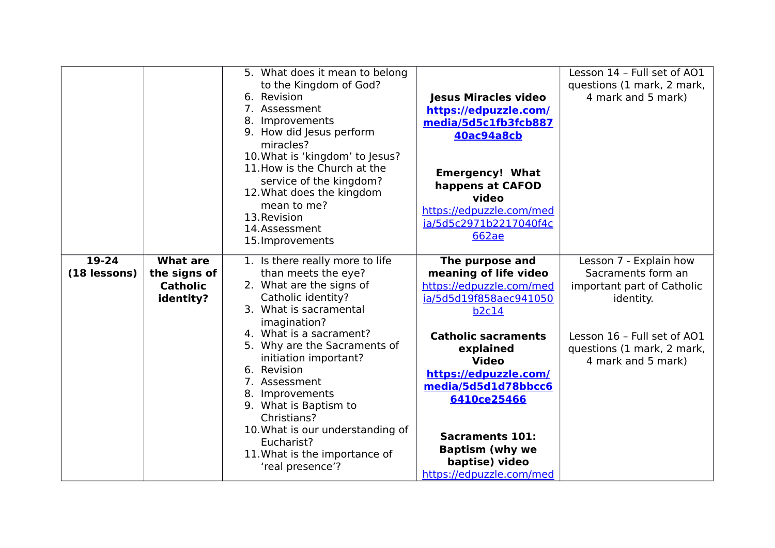|                           |                                                                 | 5. What does it mean to belong<br>to the Kingdom of God?<br>6. Revision<br>7. Assessment<br>8. Improvements<br>9. How did Jesus perform<br>miracles?<br>10. What is 'kingdom' to Jesus?<br>11. How is the Church at the<br>service of the kingdom?<br>12. What does the kingdom<br>mean to me?<br>13. Revision<br>14.Assessment<br>15. Improvements                                                                                      | <b>Jesus Miracles video</b><br>https://edpuzzle.com/<br>media/5d5c1fb3fcb887<br><b>40ac94a8cb</b><br><b>Emergency! What</b><br>happens at CAFOD<br>video<br>https://edpuzzle.com/med<br>ia/5d5c2971b2217040f4c<br><b>662ae</b>                                                                                                             | Lesson 14 - Full set of AO1<br>questions (1 mark, 2 mark,<br>4 mark and 5 mark)                                                                                            |
|---------------------------|-----------------------------------------------------------------|------------------------------------------------------------------------------------------------------------------------------------------------------------------------------------------------------------------------------------------------------------------------------------------------------------------------------------------------------------------------------------------------------------------------------------------|--------------------------------------------------------------------------------------------------------------------------------------------------------------------------------------------------------------------------------------------------------------------------------------------------------------------------------------------|----------------------------------------------------------------------------------------------------------------------------------------------------------------------------|
| $19 - 24$<br>(18 lessons) | <b>What are</b><br>the signs of<br><b>Catholic</b><br>identity? | 1. Is there really more to life<br>than meets the eye?<br>2. What are the signs of<br>Catholic identity?<br>3. What is sacramental<br>imagination?<br>4. What is a sacrament?<br>5. Why are the Sacraments of<br>initiation important?<br>6. Revision<br>7. Assessment<br>8. Improvements<br>9. What is Baptism to<br>Christians?<br>10. What is our understanding of<br>Eucharist?<br>11. What is the importance of<br>'real presence'? | The purpose and<br>meaning of life video<br>https://edpuzzle.com/med<br>ia/5d5d19f858aec941050<br><b>b2c14</b><br><b>Catholic sacraments</b><br>explained<br><b>Video</b><br>https://edpuzzle.com/<br>media/5d5d1d78bbcc6<br>6410ce25466<br><b>Sacraments 101:</b><br><b>Baptism (why we</b><br>baptise) video<br>https://edpuzzle.com/med | Lesson 7 - Explain how<br>Sacraments form an<br>important part of Catholic<br>identity.<br>Lesson 16 - Full set of AO1<br>questions (1 mark, 2 mark,<br>4 mark and 5 mark) |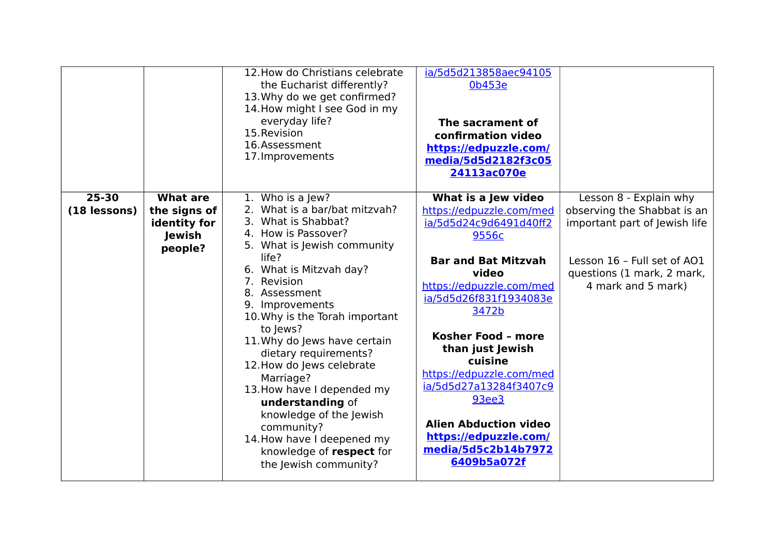|                           |                                                                      | 12. How do Christians celebrate<br>the Eucharist differently?<br>13. Why do we get confirmed?<br>14. How might I see God in my<br>everyday life?<br>15. Revision<br>16.Assessment<br>17. Improvements                                                                                                                                                                                                                                                                                                                                                | ia/5d5d213858aec94105<br>0b453e<br>The sacrament of<br>confirmation video<br>https://edpuzzle.com/<br>media/5d5d2182f3c05<br>24113ac070e                                                                                                                                                                                                                                                                    |                                                                                                                                                                           |
|---------------------------|----------------------------------------------------------------------|------------------------------------------------------------------------------------------------------------------------------------------------------------------------------------------------------------------------------------------------------------------------------------------------------------------------------------------------------------------------------------------------------------------------------------------------------------------------------------------------------------------------------------------------------|-------------------------------------------------------------------------------------------------------------------------------------------------------------------------------------------------------------------------------------------------------------------------------------------------------------------------------------------------------------------------------------------------------------|---------------------------------------------------------------------------------------------------------------------------------------------------------------------------|
| $25 - 30$<br>(18 lessons) | <b>What are</b><br>the signs of<br>identity for<br>Jewish<br>people? | 1. Who is a Jew?<br>2. What is a bar/bat mitzvah?<br>3. What is Shabbat?<br>4. How is Passover?<br>5. What is Jewish community<br>life?<br>6. What is Mitzvah day?<br>7. Revision<br>8. Assessment<br>9. Improvements<br>10. Why is the Torah important<br>to Jews?<br>11. Why do Jews have certain<br>dietary requirements?<br>12. How do Jews celebrate<br>Marriage?<br>13. How have I depended my<br>understanding of<br>knowledge of the Jewish<br>community?<br>14. How have I deepened my<br>knowledge of respect for<br>the Jewish community? | What is a Jew video<br>https://edpuzzle.com/med<br>ia/5d5d24c9d6491d40ff2<br>9556c<br><b>Bar and Bat Mitzvah</b><br>video<br>https://edpuzzle.com/med<br>ia/5d5d26f831f1934083e<br>3472b<br>Kosher Food - more<br>than just Jewish<br>cuisine<br>https://edpuzzle.com/med<br>ia/5d5d27a13284f3407c9<br>93ee3<br><b>Alien Abduction video</b><br>https://edpuzzle.com/<br>media/5d5c2b14b7972<br>6409b5a072f | Lesson 8 - Explain why<br>observing the Shabbat is an<br>important part of Jewish life<br>Lesson 16 - Full set of AO1<br>questions (1 mark, 2 mark,<br>4 mark and 5 mark) |